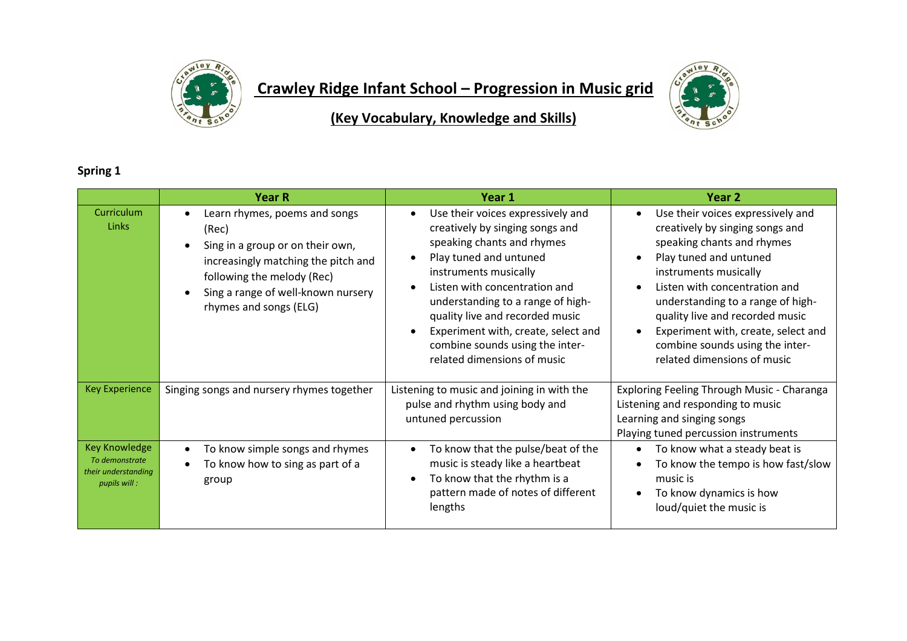

## **Crawley Ridge Infant School – Progression in Music grid**



**(Key Vocabulary, Knowledge and Skills)**

## **Spring 1**

|                                                                               | <b>Year R</b>                                                                                                                                                                                                   | Year 1                                                                                                                                                                                                                                                                                                                                                                  | Year 2                                                                                                                                                                                                                                                                                                                                                                  |
|-------------------------------------------------------------------------------|-----------------------------------------------------------------------------------------------------------------------------------------------------------------------------------------------------------------|-------------------------------------------------------------------------------------------------------------------------------------------------------------------------------------------------------------------------------------------------------------------------------------------------------------------------------------------------------------------------|-------------------------------------------------------------------------------------------------------------------------------------------------------------------------------------------------------------------------------------------------------------------------------------------------------------------------------------------------------------------------|
| Curriculum<br><b>Links</b>                                                    | Learn rhymes, poems and songs<br>(Rec)<br>Sing in a group or on their own,<br>increasingly matching the pitch and<br>following the melody (Rec)<br>Sing a range of well-known nursery<br>rhymes and songs (ELG) | Use their voices expressively and<br>creatively by singing songs and<br>speaking chants and rhymes<br>Play tuned and untuned<br>instruments musically<br>Listen with concentration and<br>understanding to a range of high-<br>quality live and recorded music<br>Experiment with, create, select and<br>combine sounds using the inter-<br>related dimensions of music | Use their voices expressively and<br>creatively by singing songs and<br>speaking chants and rhymes<br>Play tuned and untuned<br>instruments musically<br>Listen with concentration and<br>understanding to a range of high-<br>quality live and recorded music<br>Experiment with, create, select and<br>combine sounds using the inter-<br>related dimensions of music |
| <b>Key Experience</b>                                                         | Singing songs and nursery rhymes together                                                                                                                                                                       | Listening to music and joining in with the<br>pulse and rhythm using body and<br>untuned percussion                                                                                                                                                                                                                                                                     | Exploring Feeling Through Music - Charanga<br>Listening and responding to music<br>Learning and singing songs<br>Playing tuned percussion instruments                                                                                                                                                                                                                   |
| <b>Key Knowledge</b><br>To demonstrate<br>their understanding<br>pupils will: | To know simple songs and rhymes<br>To know how to sing as part of a<br>group                                                                                                                                    | To know that the pulse/beat of the<br>music is steady like a heartbeat<br>To know that the rhythm is a<br>pattern made of notes of different<br>lengths                                                                                                                                                                                                                 | To know what a steady beat is<br>To know the tempo is how fast/slow<br>music is<br>To know dynamics is how<br>loud/quiet the music is                                                                                                                                                                                                                                   |